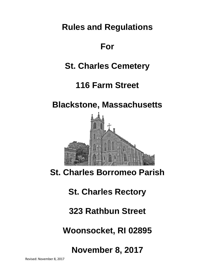**Rules and Regulations** 

# **For**

# **St. Charles Cemetery**

# **116 Farm Street**

# **Blackstone, Massachusetts**



# **St. Charles Borromeo Parish**

# **St. Charles Rectory**

# **323 Rathbun Street**

# **Woonsocket, RI 02895**

**November 8, 2017**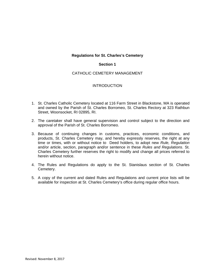#### **Section 1**

## CATHOLIC CEMETERY MANAGEMENT

## **INTRODUCTION**

- 1. St. Charles Catholic Cemetery located at 116 Farm Street in Blackstone, MA is operated and owned by the Parish of St. Charles Borromeo, St. Charles Rectory at 323 Rathbun Street, Woonsocket, RI 02895, RI.
- 2. The caretaker shall have general supervision and control subject to the direction and approval of the Parish of St. Charles Borromeo.
- 3. Because of continuing changes in customs, practices, economic conditions, and products, St. Charles Cemetery may, and hereby expressly reserves, the right at any time or times, with or without notice to Deed holders, to adopt new *Rule, Regulation*  and/or article, section, paragraph and/or sentence in these *Rules and Regulations*. St. Charles Cemetery further reserves the right to modify and change all prices referred to herein without notice.
- 4. The Rules and Regulations do apply to the St. Stanislaus section of St. Charles Cemetery.
- 5. A copy of the current and dated Rules and Regulations and current price lists will be available for inspection at St. Charles Cemetery's office during regular office hours.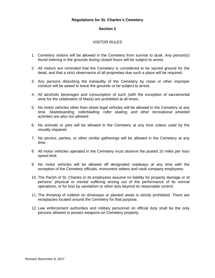#### **Section 2**

# VISITOR RULES

- 1. Cemetery visitors will be allowed in the Cemetery from sunrise to dusk. Any person(s) found loitering in the grounds during closed hours will be subject to arrest.
- 2. All visitors are reminded that the Cemetery is considered to be sacred ground for the dead, and that a strict observance of all proprieties due such a place will be required.
- 3. Any persons disturbing the tranquility of the Cemetery by noise or other improper conduct will be asked to leave the grounds or be subject to arrest.
- 4. All alcoholic beverages and consumption of such (with the exception of sacramental wine for the celebration of Mass) are prohibited at all times.
- 5. No motor vehicles other than street legal vehicles will be allowed in the Cemetery at any time. *Skateboarding, rollerblading, roller skating, and other recreational wheeled activities are also not allowed.*
- 6. No animals or pets will be allowed in the Cemetery at any time unless used by the visually impaired.
- 7. No picnics, parties, or other similar gatherings will be allowed in the Cemetery at any time.
- 8. All motor vehicles operated in the Cemetery must *observe* the posted 10 miles per hour speed limit.
- 9. No motor vehicles will be allowed off designated roadways at any time with the exception of the Cemetery officials, monument setters and vault company employees.
- 10. The Parish of St. Charles or its employees assume no liability for property damage or of persons' physical or mental suffering arising out of the performance of its normal operations, or for loss by vandalism or other acts beyond its reasonable control.
- 11. The throwing of rubbish on driveways or planted areas is strictly prohibited. There are receptacles located around the Cemetery for that purpose.
- 12. Law enforcement authorities and military personnel on official duty shall be the only persons allowed to posses weapons on Cemetery property.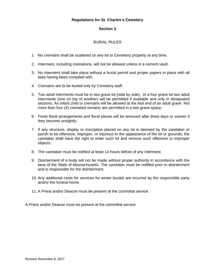## **Section 3**

## BURIAL RULES

- 1. No cremains shall be scattered on any lot or Cemetery property at any time.
- 2. Interment, including cremations*,* will not be allowed unless in a cement vault.
- 3. No interment shall take place without a burial permit and proper papers in place with all laws having been complied with.
- 4. *C*remains are to be buried only by Cemetery staff.
- 5. Two adult interments must be in two grave lot (side by side). In a four grave lot two adult interments (one on top of another) will be permitted if available and only in designated sections. An infant child or cremains will be allowed at the foot end of an adult grave. Not more than four (4) cremated remains are permitted in a two grave space.
- 6. Fresh floral arrangements and floral pieces will be removed after three days or sooner if they become unsightly.
- 7. If any structure, display or inscription placed on any lot is deemed by the caretaker or parish to be offensive, improper, or injurious to the appearance of the lot or grounds, the caretaker shall have the right to enter such lot and remove such offensive or improper objects.
- 8. The caretaker must be notified at least 12-hours before of any interment.
- 9. Disinterment of a body will not be made without proper authority in accordance with the laws of the State of Massachusetts. The caretaker must be notified prior to disinterment and is responsible for the disinterment.
- 10. Any additional costs for services for winter burials are incurred by the responsible party and/or the funeral home.
- 11. A Priest and/or Deacon must be present at the committal service.

A Priest and/or Deacon must be present at the committal service.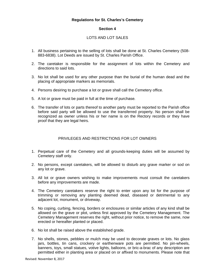#### **Section 4**

# LOTS AND LOT SALES

- 1. All business pertaining to the selling of lots shall be done at St. Charles Cemetery (508- 883-6838). Lot Deeds are issued by St. Charles Parish Office.
- 2. The caretaker is responsible for the assignment of lots within the Cemetery and directions to said lots.
- 3. No lot shall be used for any other purpose than the burial of the human dead and the placing of appropriate markers as memorials.
- 4. Persons desiring to purchase a lot or grave shall call the Cemetery office.
- 5. A lot or grave must be paid in full at the time of purchase*.*
- 6. The transfer of lots or parts thereof to another party must be reported to the Parish office before said party will be allowed to use the transferred property. No person shall be recognized as owner unless his or her name is on the Rectory records or they have proof that they are legal heirs.

## PRIVILEGES AND RESTRICTIONS FOR LOT OWNERS

- 1. Perpetual care of the Cemetery and all grounds-keeping duties will be assumed by Cemetery staff only.
- 2. No persons, except caretakers, will be allowed to disturb any grave marker or sod on any lot or grave.
- 3. All lot or grave owners wishing to make improvements must consult the caretakers before any improvements are made.
- 4. The Cemetery caretakers reserve the right to enter upon any lot for the purpose of trimming or removing any planting deemed dead, diseased or detrimental to any adjacent lot, monument, or driveway.
- 5. No coping, curbing, fencing, borders or enclosures or similar articles of any kind shall be allowed on the grave or plot, unless first approved by the Cemetery Management. The Cemetery Management reserves the right, without prior notice, to remove the same, now erected or hereafter planted or placed.
- 6. No lot shall be raised above the established grade.
- 7. No shells, stones, pebbles or mulch may be used to decorate graves or lots. No glass jars, bottles, tin cans, crockery or earthenware pots are permitted. No pin-wheels, banners, toys, small statues, votive lights, balloons, or bric-a-brac of any description are permitted either in planting area or placed on or affixed to monuments. Please note that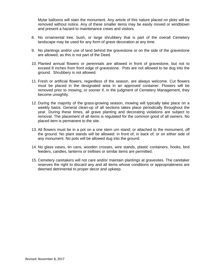Mylar balloons will stain the monument. Any article of this nature placed on plots will be removed without notice. Any of these smaller items may be easily moved or windblown and present a hazard to maintenance crews and visitors.

- 8. No ornamental tree, bush, or large shrubbery that is part of the overall Cemetery landscape may be used for any form of grave decoration at any time.
- 9. No plantings and/or use of land behind the gravestone or on the side of the gravestone are allowed, as this is not part of the Deed.
- 10. Planted annual flowers or perennials are allowed in front of gravestone, but not to exceed 8 inches from front edge of gravestone. Pots are not allowed to be dug into the ground. Shrubbery is not allowed.
- 11. Fresh or artificial flowers, regardless of the season, are always welcome. Cut flowers must be placed in the designated area in an approved container. Flowers will be removed prior to mowing, or sooner if, in the judgment of Cemetery Management, they become unsightly.
- 12. During the majority of the grass-growing season, mowing will typically take place on a weekly basis. General clean-up of all sections takes place periodically throughout the year. During these times, all grave planting and decorating violations are subject to removal. The placement of all items is regulated for the common good of all owners. No placed item is permanent to the site.
- 13. All flowers must be in a pot on a one stem urn stand; or attached to the monument, off the ground. No plant stands will be allowed: in front of; in back of; or on either side of any monument. No pots will be allowed dug into the ground.
- 14. No glass vases, tin cans, wooden crosses, wire stands, plastic containers, hooks, bird feeders, candles, lanterns or trellises or similar items are permitted.
- 15. Cemetery caretakers will not care and/or maintain plantings at gravesites. The caretaker reserves the right to discard any and all items whose conditions or appropriateness are deemed detrimental to proper decor and upkeep.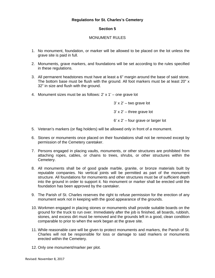#### **Section 5**

#### MONUMENT RULES

- 1. No monument, foundation, or marker will be allowed to be placed on the lot unless the grave site is paid in full.
- 2. Monuments, grave markers, and foundations will be set according to the rules specified in these regulations.
- 3. All permanent headstones must have at least a 6" margin around the base of said stone. The bottom base must be flush with the ground. All foot markers must be at least 20" x 32" in size and flush with the ground.
- 4. Monument sizes must be as follows:  $2' \times 1'$  one grave lot

 $3' \times 2'$  – two grave lot

 $3' \times 2'$  – three grave lot

6' x 2' – four grave or larger lot

- 5. Veteran's markers (or flag holders) will be allowed only in front of *a* monument.
- 6. Stones or monuments once placed on their foundations shall not be removed except by permission of the Cemetery caretaker.
- 7. Persons engaged in placing vaults, monuments, or other structures are prohibited from attaching ropes, cables, or chains to trees, shrubs, or other structures within the Cemetery.
- 8. All monuments shall be of good grade marble, granite, or bronze materials built by reputable companies. No vertical joints will be permitted as part of the monument structure. All foundations for monuments and other structures must be of sufficient depth into the ground in order to support it. No monument or marker shall be erected until the foundation has been approved by the caretaker.
- 9. The Parish of St. Charles reserves the right to refuse permission for the erection of any monument work not in keeping with the good appearance of the grounds.
- 10. Workmen engaged in placing stones or monuments shall provide suitable boards on the ground for the truck to run over. Immediately after the job is finished, all boards, rubbish, stones, and excess dirt must be removed and the grounds left in a good, clean condition comparable to prior to when the work began at the grave site.
- 11. While reasonable care will be given to protect monuments and markers, the Parish of St. Charles will not be responsible for loss or damage to said markers or monuments erected within the Cemetery.
- 12. Only one monument/marker per plot.